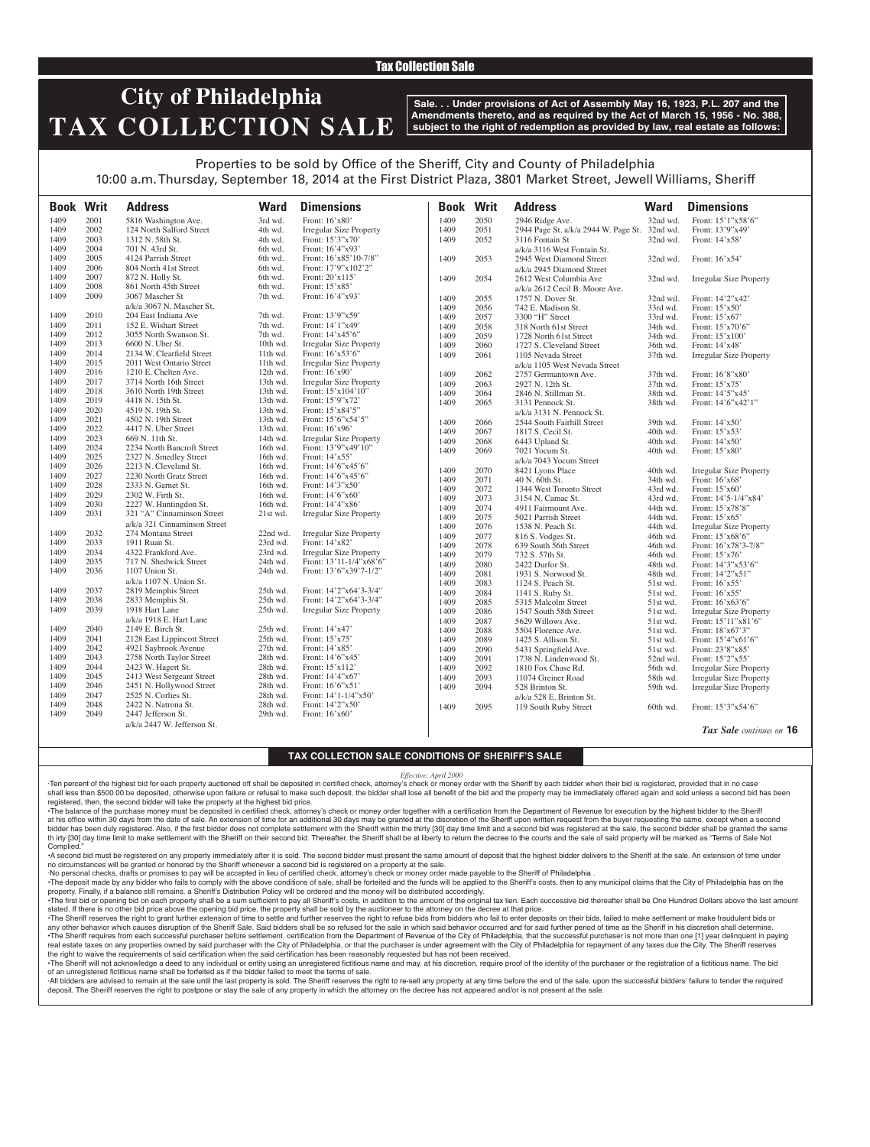### Tax Collection Sale

## **City of Philadelphia TAX COLLECTION SALE**

**Sale. . . Under provisions of Act of Assembly May 16, 1923, P.L. 207 and the Amendments thereto, and as required by the Act of March 15, 1956 - No. 388, subject to the right of redemption as provided by law, real estate as follows:**

## Properties to be sold by Office of the Sheriff, City and County of Philadelphia 10:00 a.m. Thursday, September 18, 2014 at the First District Plaza, 3801 Market Street, Jewell Williams, Sheriff

| <b>Book Writ</b> |      | <b>Address</b>               | <b>Ward</b> | <b>Dimensions</b>              | <b>Book Writ</b> |      | <b>Address</b>                                | <b>Ward</b> | <b>Dimensions</b>              |
|------------------|------|------------------------------|-------------|--------------------------------|------------------|------|-----------------------------------------------|-------------|--------------------------------|
| 1409             | 2001 | 5816 Washington Ave.         | 3rd wd.     | Front: 16'x80'                 | 1409             | 2050 | 2946 Ridge Ave.                               | 32nd wd.    | Front: 15'1"x58'6"             |
| 1409             | 2002 | 124 North Salford Street     | 4th wd.     | <b>Irregular Size Property</b> | 1409             | 2051 | 2944 Page St. a/k/a 2944 W. Page St. 32nd wd. |             | Front: 13'9"x49'               |
| 1409             | 2003 | 1312 N. 58th St.             | 4th wd.     | Front: 15'3"x70'               | 1409             | 2052 | 3116 Fontain St                               | $32nd$ wd.  | Front: 14'x58'                 |
| 1409             | 2004 | 701 N. 43rd St.              | 6th wd.     | Front: 16'4"x93'               |                  |      | a/k/a 3116 West Fontain St.                   |             |                                |
| 1409             | 2005 | 4124 Parrish Street          | 6th wd.     | Front: 16'x85'10-7/8"          | 1409             | 2053 | 2945 West Diamond Street                      | 32nd wd.    | Front: 16'x54'                 |
| 1409             | 2006 | 804 North 41st Street        | 6th wd.     | Front: 17'9"x102'2"            |                  |      | a/k/a 2945 Diamond Street                     |             |                                |
| 1409             | 2007 | 872 N. Holly St.             | 6th wd.     | Front: 20'x115'                | 1409             | 2054 | 2612 West Columbia Ave                        | 32nd wd.    | <b>Irregular Size Property</b> |
| 1409             | 2008 | 861 North 45th Street        | 6th wd.     | Front: 15'x85'                 |                  |      | a/k/a 2612 Cecil B. Moore Ave.                |             |                                |
| 1409             | 2009 | 3067 Mascher St              | 7th wd.     | Front: 16'4"x93'               | 1409             | 2055 | 1757 N. Dover St.                             | 32nd wd.    | Front: 14'2"x42'               |
|                  |      | $a/k/a$ 3067 N. Mascher St.  |             |                                | 1409             | 2056 | 742 E. Madison St.                            | 33rd wd.    | Front: 15'x50'                 |
| 1409             | 2010 | 204 East Indiana Ave         | 7th wd.     | Front: 13'9"x59'               | 1409             | 2057 | 3300 "H" Street                               | 33rd wd.    | Front: 15'x67'                 |
| 1409             | 2011 | 152 E. Wishart Street        | 7th wd.     | Front: 14'1"x49'               | 1409             | 2058 | 318 North 61st Street                         | 34th wd.    | Front: 15'x70'6"               |
| 1409             | 2012 | 3055 North Swanson St.       | 7th wd.     | Front: 14'x45'6"               | 1409             | 2059 | 1728 North 61st Street                        | 34th wd.    | Front: 15'x100'                |
| 1409             | 2013 | 6600 N. Uber St.             | 10th wd.    | <b>Irregular Size Property</b> | 1409             | 2060 | 1727 S. Cleveland Street                      | 36th wd.    | Front: 14'x48'                 |
| 1409             | 2014 | 2134 W. Clearfield Street    | 11th wd.    | Front: 16'x53'6"               | 1409             | 2061 | 1105 Nevada Street                            | 37th wd.    | <b>Irregular Size Property</b> |
| 1409             | 2015 | 2011 West Ontario Street     | $11th$ wd.  | <b>Irregular Size Property</b> |                  |      | a/k/a 1105 West Nevada Street                 |             |                                |
| 1409             | 2016 | 1210 E. Chelten Ave.         | 12th wd.    | Front: 16'x90'                 | 1409             | 2062 | 2757 Germantown Ave.                          | 37th wd.    | Front: 16'8"x80'               |
| 1409             | 2017 | 3714 North 16th Street       | 13th wd.    | <b>Irregular Size Property</b> | 1409             | 2063 | 2927 N. 12th St.                              | 37th wd.    | Front: 15'x75'                 |
| 1409             | 2018 | 3610 North 19th Street       | 13th wd.    | Front: 15'x104'10"             | 1409             | 2064 | 2846 N. Stillman St.                          | 38th wd.    | Front: 14'5"x45'               |
| 1409             | 2019 | 4418 N. 15th St.             | 13th wd.    | Front: 15'9"x72'               | 1409             | 2065 | 3131 Pennock St.                              | 38th wd.    | Front: 14'6"x42'1"             |
| 1409             | 2020 | 4519 N. 19th St.             | 13th wd.    | Front: 15'x84'5"               |                  |      | $a/k/a$ 3131 N. Pennock St.                   |             |                                |
| 1409             | 2021 | 4502 N. 19th Street          | 13th wd.    | Front: 15'6"x54'5"             | 1409             | 2066 | 2544 South Fairhill Street                    | 39th wd.    | Front: 14'x50'                 |
| 1409             | 2022 | 4417 N. Uber Street          | 13th wd.    | Front: 16'x96'                 | 1409             | 2067 | 1817 S. Cecil St.                             | 40th wd.    | Front: 15'x53'                 |
| 1409             | 2023 | 669 N. 11th St.              | 14th wd.    | Irregular Size Property        | 1409             | 2068 | 6443 Upland St.                               | 40th wd.    | Front: 14'x50'                 |
| 1409             | 2024 | 2234 North Bancroft Street   | 16th wd.    | Front: 13'9"x49'10"            | 1409             | 2069 | 7021 Yocum St.                                | 40th wd.    | Front: 15'x80'                 |
| 1409             | 2025 | 2327 N. Smedley Street       | 16th wd.    | Front: 14'x55'                 |                  |      | a/k/a 7043 Yocum Street                       |             |                                |
| 1409             | 2026 | 2213 N. Cleveland St.        | 16th wd.    | Front: 14'6"x45'6"             | 1409             | 2070 | 8421 Lyons Place                              | 40th wd.    | <b>Irregular Size Property</b> |
| 1409             | 2027 | 2230 North Gratz Street      | 16th wd.    | Front: 14'6"x45'6"             | 1409             | 2071 | 40 N. 60th St.                                | 34th wd.    | Front: 16'x68'                 |
| 1409             | 2028 | 2333 N. Garnet St.           | 16th wd.    | Front: 14'3"x50'               | 1409             | 2072 | 1344 West Toronto Street                      | 43rd wd.    | Front: 15'x60'                 |
| 1409             | 2029 | 2302 W. Firth St.            | 16th wd.    | Front: 14'6"x60"               | 1409             | 2073 | 3154 N. Camac St.                             | 43rd wd.    | Front: 14'5-1/4"x84'           |
| 1409             | 2030 | 2227 W. Huntingdon St.       | 16th wd.    | Front: 14'4"x86'               | 1409             | 2074 | 4911 Fairmount Ave.                           | 44th wd.    | Front: 15'x78'8"               |
| 1409             | 2031 | 321 "A" Cinnaminson Street   | 21st wd.    | <b>Irregular Size Property</b> | 1409             | 2075 | 5021 Parrish Street                           | 44th wd.    | Front: 15'x65'                 |
|                  |      | a/k/a 321 Cinnaminson Street |             |                                | 1409             | 2076 | 1538 N. Peach St.                             | 44th wd.    | <b>Irregular Size Property</b> |
| 1409             | 2032 | 274 Montana Street           | 22nd wd.    | <b>Irregular Size Property</b> | 1409             | 2077 | 816 S. Vodges St.                             | 46th wd.    | Front: 15'x68'6"               |
| 1409             | 2033 | 1911 Ruan St.                | 23rd wd.    | Front: 14'x82'                 | 1409             | 2078 | 639 South 56th Street                         | 46th wd.    | Front: 16'x78'3-7/8"           |
| 1409             | 2034 | 4322 Frankford Ave.          | 23rd wd.    | Irregular Size Property        | 1409             | 2079 | 732 S. 57th St.                               | 46th wd.    | Front: 15'x76'                 |
| 1409             | 2035 | 717 N. Shedwick Street       | 24th wd.    | Front: 13'11-1/4"x68'6"        | 1409             | 2080 | 2422 Durfor St.                               | 48th wd.    | Front: 14'3"x53'6"             |
| 1409             | 2036 | 1107 Union St.               | 24th wd.    | Front: 13'6"x39'7-1/2"         | 1409             | 2081 | 1931 S. Norwood St.                           | 48th wd.    | Front: 14'2"x51"               |
|                  |      | a/k/a 1107 N. Union St.      |             |                                | 1409             | 2083 | 1124 S. Peach St.                             | 51st wd.    | Front: 16'x55'                 |
| 1409             | 2037 | 2819 Memphis Street          | 25th wd.    | Front: 14'2"x64'3-3/4"         | 1409             | 2084 | 1141 S. Ruby St.                              | 51st wd.    | Front: 16'x55'                 |
| 1409             | 2038 | 2833 Memphis St.             | 25th wd.    | Front: 14'2"x64'3-3/4"         | 1409             | 2085 | 5315 Malcolm Street                           | 51st wd.    | Front: 16'x63'6"               |
| 1409             | 2039 | 1918 Hart Lane               | 25th wd.    | <b>Irregular Size Property</b> | 1409             | 2086 | 1547 South 58th Street                        | 51st wd.    | Irregular Size Property        |
|                  |      | a/k/a 1918 E. Hart Lane      |             |                                | 1409             | 2087 | 5629 Willows Ave.                             | 51st wd.    | Front: 15'11"x81'6"            |
| 1409             | 2040 | 2149 E. Birch St.            | 25th wd.    | Front: 14'x47'                 | 1409             | 2088 | 5504 Florence Ave.                            | 51st wd.    | Front: 18'x67'3"               |
| 1409             | 2041 | 2128 East Lippincott Street  | 25th wd.    | Front: 15'x75'                 | 1409             | 2089 | 1425 S. Allison St.                           | 51st wd.    | Front: 15'4"x61'6"             |
| 1409             | 2042 | 4921 Saybrook Avenue         | 27th wd.    | Front: 14'x85'                 | 1409             | 2090 | 5431 Springfield Ave.                         | 51st wd.    | Front: 23'8"x85'               |
| 1409             | 2043 | 2758 North Taylor Street     | 28th wd.    | Front: 14'6"x45'               | 1409             | 2091 | 1738 N. Lindenwood St.                        | 52nd wd.    | Front: 15'2"x55'               |
| 1409             | 2044 | 2423 W. Hagert St.           | 28th wd.    | Front: 15'x112'                | 1409             | 2092 | 1810 Fox Chase Rd.                            | 56th wd.    | <b>Irregular Size Property</b> |
| 1409             | 2045 | 2413 West Sergeant Street    | 28th wd.    | Front: 14'4"x67"               | 1409             | 2093 | 11074 Greiner Road                            | 58th wd.    | Irregular Size Property        |
| 1409             | 2046 | 2451 N. Hollywood Street     | 28th wd.    | Front: 16'6"x51'               | 1409             | 2094 | 528 Brinton St.                               | 59th wd.    | <b>Irregular Size Property</b> |
| 1409             | 2047 | 2525 N. Corlies St.          | 28th wd.    | Front: $14'1-1/4''x50'$        |                  |      | a/k/a 528 E. Brinton St.                      |             |                                |
| 1409             | 2048 | 2422 N. Natrona St.          | 28th wd.    | Front: 14'2"x50'               | 1409             | 2095 | 119 South Ruby Street                         | 60th wd.    | Front: 15'3"x54'6"             |
| 1409             | 2049 | 2447 Jefferson St.           | 29th wd.    | Front: 16'x60'                 |                  |      |                                               |             |                                |
|                  |      | a/k/a 2447 W. Jefferson St.  |             |                                |                  |      |                                               |             | Tax Sale continues on 16       |

### **TAX COLLECTION SALE CONDITIONS OF SHERIFF'S SALE**

#### *Effective: April 2000*

·Ten percent of the highest bid for each property auctioned off shall be deposited in certified check, attorney's check or money order with the Sheriff by each bidder when their bid is registered, provided that in no case shall less than \$500.00 be deposited, otherwise upon failure or refusal to make such deposit, the bidder shall lose all benefit of the bid and the property may be immediately offered again and sold unless a second bid has registered, then, the second bidder will take the property at the highest bid price.

•The balance of the purchase money must be deposited in certified check, attorney's check or money order together with a certification from the Department of Revenue for execution by the highest bidder to the Sheriff at his office within 30 days from the date of sale. An extension of time for an additional 30 days may be granted at the discretion of the Sheriff upon written request from the buyer requesting the same, except when a seco bidder has been duly registered. Also, if the first bidder does not complete settlement with the Sheriff within the thirty [30] day time limit and a second bid was registered at the sale, the second bidder shall be granted th irty [30] day time limit to make settlement with the Sheriff on their second bid. Thereafter, the Sheriff shall be at liberty to return the decree to the courts and the sale of said property will be marked as "Terms of Complied."

•A second bid must be registered on any property immediately after it is sold. The second bidder must present the same amount of deposit that the highest bidder delivers to the Sheriff at the sale. An extension of time under no circumstances will be granted or honored by the Sheriff whenever a second bid is registered on a property at the sale.

·No personal checks, drafts or promises to pay will be accepted in lieu of certified check, attorney's check or money order made payable to the Sheriff of Philadelphia .

The deposit made by any bidder who fails to comply with the above conditions of sale, shall be forteited and the funds will be applied to the Sheriff's costs, then to any municipal claims that the City of Philadelphia has property. Finally, if a balance still remains, a Sheriff's Distribution Policy will be ordered and the money will be distributed accordingly.

The first bid or opening bid on each property shall be a sum sufficient to pay all Sheriff's costs, in addition to the amount of the original tax lien. Each successive bid thereafter shall be One Hundred Dollars above the stated. If there is no other bid price above the opening bid price, the property shall be sold by the auctioneer to the attorney on the decree at that price.

The Sheriff reserves the right to grant further extension of time to settle and further reserves the right to refuse bids from bidders who fail to enter deposits on their bids, failed to make settlement or make fraudulent any other behavior which causes disruption of the Sheriff Sale. Said bidders shall be so refused for the sale in which said behavior occurred and for said further period of time as the Sheriff in his discretion shall deter The Sheriff requires from each successful purchaser before settlement, certification from the Department of Revenue of the City of Philadelphia, that the successful purchaser is not more than one [1] year delinquent in pay real estate taxes on any properties owned by said purchaser with the City of Philadelphia, or that the purchaser is under agreement with the City of Philadelphia for repayment of any taxes due the City. The Sheriff reserve the right to waive the requirements of said certification when the said certification has been reasonably requested but has not been received.

The Sheriff will not acknowledge a deed to any individual or entity using an unregistered fictitious name and may, at his discretion, require proof of the identity of the purchaser or the registration of a fictitious name. of an unregistered fictitious name shall be forfeited as if the bidder failed to meet the terms of sale.

All bidders are advised to remain at the sale until the last property is sold. The Sheriff reserves the right to re-sell any property at any time before the end of the sale, upon the successful bidders' failure to tender t deposit. The Sheriff reserves the right to postpone or stay the sale of any property in which the attorney on the decree has not appeared and/or is not present at the sale.